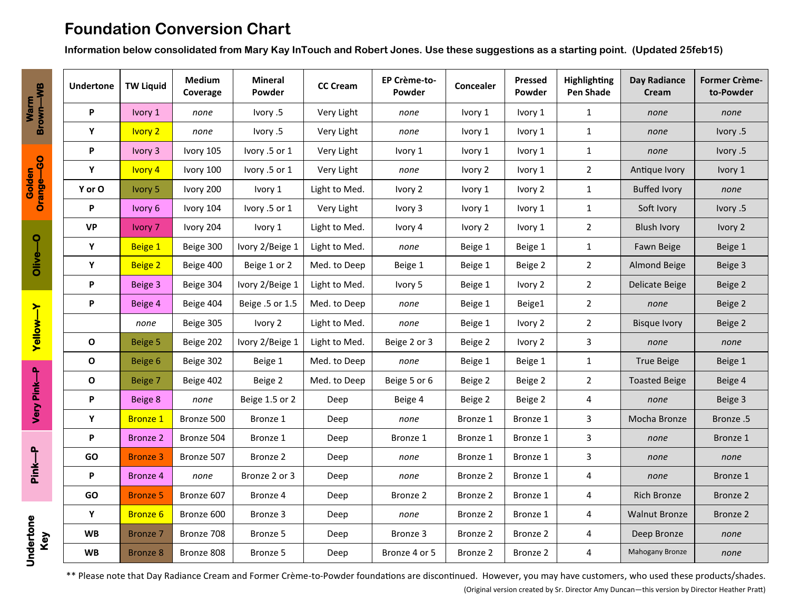# **Foundation Conversion Chart**

**Information below consolidated from Mary Kay InTouch and Robert Jones. Use these suggestions as a starting point. (Updated 25feb15)**

| Warm<br>Brown—WB                              | <b>Undertone</b> | <b>TW Liquid</b> | Medium<br>Coverage | <b>Mineral</b><br>Powder | <b>CC Cream</b> | EP Crème-to-<br>Powder | Concealer | <b>Pressed</b><br>Powder | Highlighting<br><b>Pen Shade</b> | <b>Day Radiance</b><br>Cream | <b>Former Crème-</b><br>to-Powder |
|-----------------------------------------------|------------------|------------------|--------------------|--------------------------|-----------------|------------------------|-----------|--------------------------|----------------------------------|------------------------------|-----------------------------------|
|                                               | P                | Ivory 1          | none               | lvory .5                 | Very Light      | none                   | Ivory 1   | Ivory 1                  | $\mathbf{1}$                     | none                         | none                              |
|                                               | Y                | <b>Ivory 2</b>   | none               | lvory .5                 | Very Light      | none                   | Ivory 1   | Ivory 1                  | $\mathbf{1}$                     | none                         | lvory .5                          |
| Golden<br>Orange-GO                           | P                | Ivory 3          | Ivory 105          | Ivory .5 or 1            | Very Light      | Ivory 1                | Ivory 1   | Ivory 1                  | $\mathbf{1}$                     | none                         | lvory .5                          |
|                                               | Y                | <b>Ivory 4</b>   | Ivory 100          | Ivory .5 or 1            | Very Light      | none                   | Ivory 2   | Ivory 1                  | $\overline{2}$                   | Antique Ivory                | Ivory 1                           |
|                                               | Y or O           | Ivory 5          | Ivory 200          | Ivory 1                  | Light to Med.   | Ivory 2                | Ivory 1   | Ivory 2                  | $\mathbf{1}$                     | <b>Buffed Ivory</b>          | none                              |
|                                               | P                | Ivory 6          | Ivory 104          | Ivory .5 or 1            | Very Light      | Ivory 3                | Ivory 1   | Ivory 1                  | $\mathbf{1}$                     | Soft Ivory                   | lvory .5                          |
| ႖<br>Olive-<br><b>Yellow-Y</b><br>Very Pink-P | <b>VP</b>        | Ivory 7          | Ivory 204          | Ivory 1                  | Light to Med.   | Ivory 4                | Ivory 2   | Ivory 1                  | $\overline{2}$                   | <b>Blush Ivory</b>           | Ivory 2                           |
|                                               | Y                | Beige 1          | Beige 300          | Ivory 2/Beige 1          | Light to Med.   | none                   | Beige 1   | Beige 1                  | $\mathbf{1}$                     | Fawn Beige                   | Beige 1                           |
|                                               | Y                | <b>Beige 2</b>   | Beige 400          | Beige 1 or 2             | Med. to Deep    | Beige 1                | Beige 1   | Beige 2                  | $\overline{2}$                   | Almond Beige                 | Beige 3                           |
|                                               | P                | Beige 3          | Beige 304          | Ivory 2/Beige 1          | Light to Med.   | Ivory 5                | Beige 1   | Ivory 2                  | $\overline{2}$                   | Delicate Beige               | Beige 2                           |
|                                               | P                | Beige 4          | Beige 404          | Beige .5 or 1.5          | Med. to Deep    | none                   | Beige 1   | Beige1                   | $\overline{2}$                   | none                         | Beige 2                           |
|                                               |                  | none             | Beige 305          | Ivory 2                  | Light to Med.   | none                   | Beige 1   | Ivory 2                  | $\overline{2}$                   | <b>Bisque Ivory</b>          | Beige 2                           |
|                                               | $\mathbf{o}$     | Beige 5          | Beige 202          | Ivory 2/Beige 1          | Light to Med.   | Beige 2 or 3           | Beige 2   | Ivory 2                  | 3                                | none                         | none                              |
|                                               | $\mathbf{o}$     | Beige 6          | Beige 302          | Beige 1                  | Med. to Deep    | none                   | Beige 1   | Beige 1                  | $\mathbf{1}$                     | <b>True Beige</b>            | Beige 1                           |
|                                               | O                | Beige 7          | Beige 402          | Beige 2                  | Med. to Deep    | Beige 5 or 6           | Beige 2   | Beige 2                  | $\overline{2}$                   | <b>Toasted Beige</b>         | Beige 4                           |
|                                               | P                | Beige 8          | none               | Beige 1.5 or 2           | Deep            | Beige 4                | Beige 2   | Beige 2                  | 4                                | none                         | Beige 3                           |
|                                               | Y                | <b>Bronze 1</b>  | Bronze 500         | Bronze 1                 | Deep            | none                   | Bronze 1  | Bronze 1                 | 3                                | Mocha Bronze                 | Bronze.5                          |
| Pink-P<br>Undertone<br>Key                    | P                | <b>Bronze 2</b>  | Bronze 504         | Bronze 1                 | Deep            | Bronze 1               | Bronze 1  | Bronze 1                 | 3                                | none                         | Bronze 1                          |
|                                               | GO               | <b>Bronze 3</b>  | Bronze 507         | Bronze 2                 | Deep            | none                   | Bronze 1  | Bronze 1                 | 3                                | none                         | none                              |
|                                               | P                | Bronze 4         | none               | Bronze 2 or 3            | Deep            | none                   | Bronze 2  | Bronze 1                 | 4                                | none                         | Bronze 1                          |
|                                               | <b>GO</b>        | <b>Bronze 5</b>  | Bronze 607         | Bronze 4                 | Deep            | Bronze 2               | Bronze 2  | Bronze 1                 | 4                                | <b>Rich Bronze</b>           | Bronze 2                          |
|                                               | Y                | <b>Bronze 6</b>  | Bronze 600         | Bronze 3                 | Deep            | none                   | Bronze 2  | Bronze 1                 | 4                                | <b>Walnut Bronze</b>         | Bronze 2                          |
|                                               | <b>WB</b>        | Bronze 7         | Bronze 708         | Bronze 5                 | Deep            | Bronze 3               | Bronze 2  | Bronze 2                 | 4                                | Deep Bronze                  | none                              |
|                                               | <b>WB</b>        | Bronze 8         | Bronze 808         | Bronze 5                 | Deep            | Bronze 4 or 5          | Bronze 2  | Bronze 2                 | 4                                | Mahogany Bronze              | none                              |

\*\* Please note that Day Radiance Cream and Former Crème-to-Powder foundations are discontinued. However, you may have customers, who used these products/shades.

(Original version created by Sr. Director Amy Duncan—this version by Director Heather Pratt)